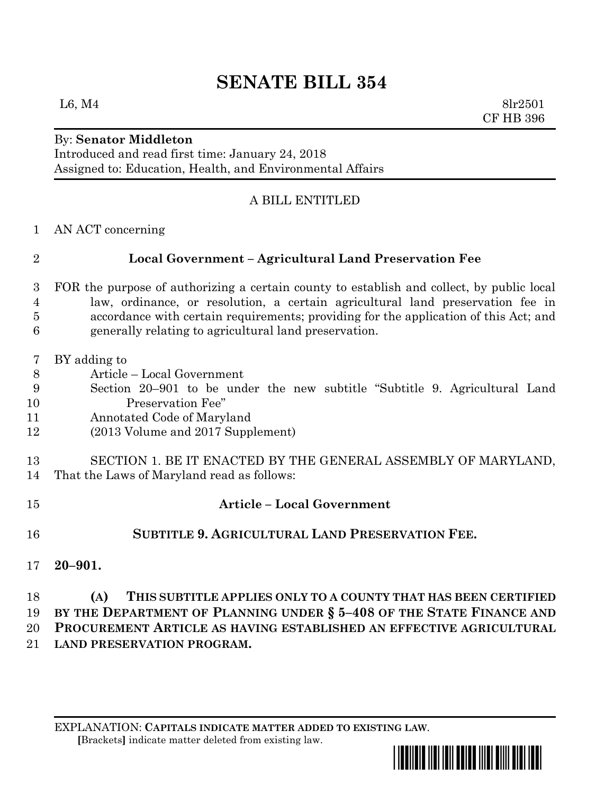# **SENATE BILL 354**

L6, M4  $8\text{lr}2501$ CF HB 396

## By: **Senator Middleton**

Introduced and read first time: January 24, 2018 Assigned to: Education, Health, and Environmental Affairs

#### A BILL ENTITLED

AN ACT concerning

### **Local Government – Agricultural Land Preservation Fee**

- FOR the purpose of authorizing a certain county to establish and collect, by public local law, ordinance, or resolution, a certain agricultural land preservation fee in accordance with certain requirements; providing for the application of this Act; and generally relating to agricultural land preservation.
- BY adding to
- Article Local Government
- Section 20–901 to be under the new subtitle "Subtitle 9. Agricultural Land Preservation Fee"
- Annotated Code of Maryland
- (2013 Volume and 2017 Supplement)
- SECTION 1. BE IT ENACTED BY THE GENERAL ASSEMBLY OF MARYLAND, That the Laws of Maryland read as follows:
- **Article – Local Government SUBTITLE 9. AGRICULTURAL LAND PRESERVATION FEE. 20–901.**

#### **(A) THIS SUBTITLE APPLIES ONLY TO A COUNTY THAT HAS BEEN CERTIFIED BY THE DEPARTMENT OF PLANNING UNDER § 5–408 OF THE STATE FINANCE AND PROCUREMENT ARTICLE AS HAVING ESTABLISHED AN EFFECTIVE AGRICULTURAL LAND PRESERVATION PROGRAM.**

EXPLANATION: **CAPITALS INDICATE MATTER ADDED TO EXISTING LAW**.  **[**Brackets**]** indicate matter deleted from existing law.